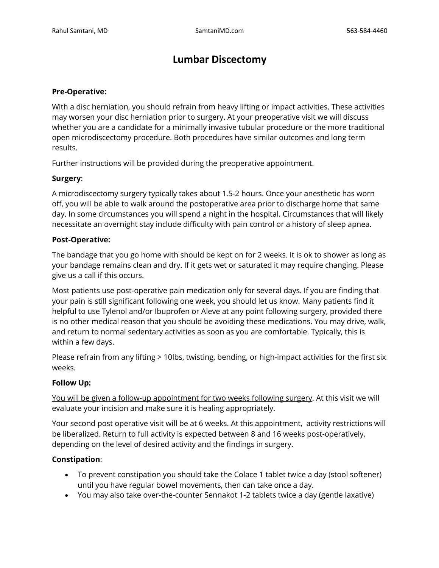# **Lumbar Discectomy**

#### **Pre-Operative:**

With a disc herniation, you should refrain from heavy lifting or impact activities. These activities may worsen your disc herniation prior to surgery. At your preoperative visit we will discuss whether you are a candidate for a minimally invasive tubular procedure or the more traditional open microdiscectomy procedure. Both procedures have similar outcomes and long term results.

Further instructions will be provided during the preoperative appointment.

## **Surgery**:

A microdiscectomy surgery typically takes about 1.5-2 hours. Once your anesthetic has worn off, you will be able to walk around the postoperative area prior to discharge home that same day. In some circumstances you will spend a night in the hospital. Circumstances that will likely necessitate an overnight stay include difficulty with pain control or a history of sleep apnea.

#### **Post-Operative:**

The bandage that you go home with should be kept on for 2 weeks. It is ok to shower as long as your bandage remains clean and dry. If it gets wet or saturated it may require changing. Please give us a call if this occurs.

Most patients use post-operative pain medication only for several days. If you are finding that your pain is still significant following one week, you should let us know. Many patients find it helpful to use Tylenol and/or Ibuprofen or Aleve at any point following surgery, provided there is no other medical reason that you should be avoiding these medications. You may drive, walk, and return to normal sedentary activities as soon as you are comfortable. Typically, this is within a few days.

Please refrain from any lifting > 10lbs, twisting, bending, or high-impact activities for the first six weeks.

## **Follow Up:**

You will be given a follow-up appointment for two weeks following surgery. At this visit we will evaluate your incision and make sure it is healing appropriately.

Your second post operative visit will be at 6 weeks. At this appointment, activity restrictions will be liberalized. Return to full activity is expected between 8 and 16 weeks post-operatively, depending on the level of desired activity and the findings in surgery.

## **Constipation**:

- To prevent constipation you should take the Colace 1 tablet twice a day (stool softener) until you have regular bowel movements, then can take once a day.
- You may also take over-the-counter Sennakot 1-2 tablets twice a day (gentle laxative)